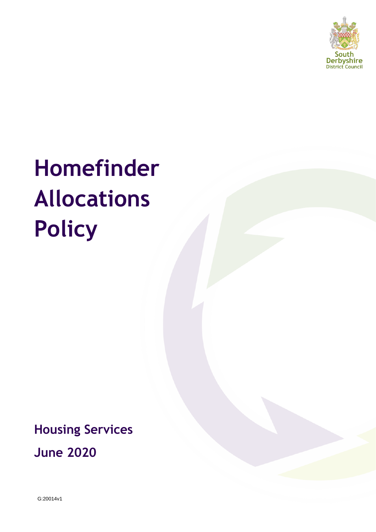

# **Homefinder Allocations Policy**

**Housing Services**

**June 2020**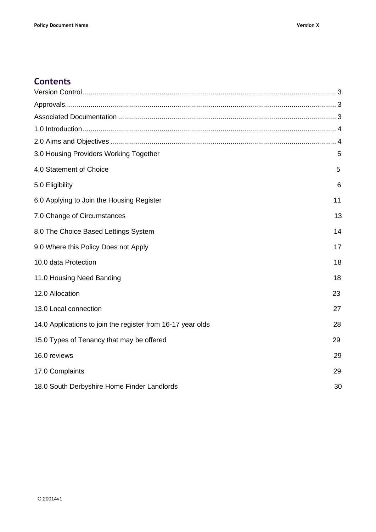# **Contents**

| 3.0 Housing Providers Working Together                      | 5  |
|-------------------------------------------------------------|----|
| 4.0 Statement of Choice                                     | 5  |
| 5.0 Eligibility                                             | 6  |
| 6.0 Applying to Join the Housing Register                   | 11 |
| 7.0 Change of Circumstances                                 | 13 |
| 8.0 The Choice Based Lettings System                        | 14 |
| 9.0 Where this Policy Does not Apply                        | 17 |
| 10.0 data Protection                                        | 18 |
| 11.0 Housing Need Banding                                   | 18 |
| 12.0 Allocation                                             | 23 |
| 13.0 Local connection                                       | 27 |
| 14.0 Applications to join the register from 16-17 year olds | 28 |
| 15.0 Types of Tenancy that may be offered                   | 29 |
| 16.0 reviews                                                | 29 |
| 17.0 Complaints                                             | 29 |
| 18.0 South Derbyshire Home Finder Landlords                 | 30 |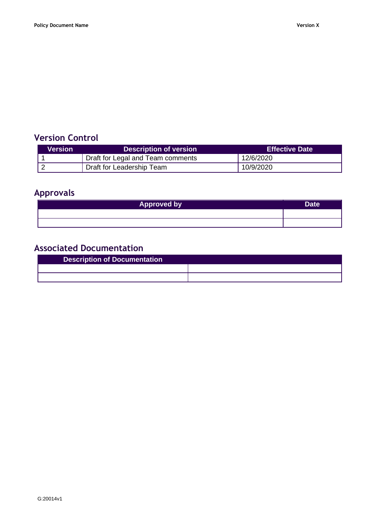# <span id="page-2-0"></span>**Version Control**

| Version | <b>Description of version</b>     | <b>Effective Date</b> |
|---------|-----------------------------------|-----------------------|
|         | Draft for Legal and Team comments | 12/6/2020             |
|         | Draft for Leadership Team         | 10/9/2020             |

# <span id="page-2-1"></span>**Approvals**

| <b>Approved by</b> | Date <sup>®</sup> |
|--------------------|-------------------|
|                    |                   |
|                    |                   |

# <span id="page-2-2"></span>**Associated Documentation**

| <b>Description of Documentation</b> |  |
|-------------------------------------|--|
|                                     |  |
|                                     |  |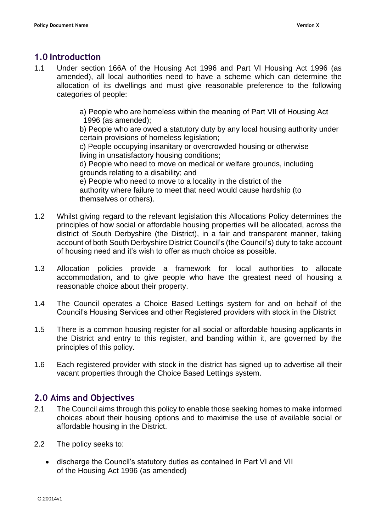# <span id="page-3-0"></span>**1.0 Introduction**

- 1.1 Under section 166A of the Housing Act 1996 and Part VI Housing Act 1996 (as amended), all local authorities need to have a scheme which can determine the allocation of its dwellings and must give reasonable preference to the following categories of people:
	- a) People who are homeless within the meaning of Part VII of Housing Act 1996 (as amended);

b) People who are owed a statutory duty by any local housing authority under certain provisions of homeless legislation;

c) People occupying insanitary or overcrowded housing or otherwise living in unsatisfactory housing conditions;

d) People who need to move on medical or welfare grounds, including grounds relating to a disability; and

e) People who need to move to a locality in the district of the authority where failure to meet that need would cause hardship (to themselves or others).

- 1.2 Whilst giving regard to the relevant legislation this Allocations Policy determines the principles of how social or affordable housing properties will be allocated, across the district of South Derbyshire (the District), in a fair and transparent manner, taking account of both South Derbyshire District Council's (the Council's) duty to take account of housing need and it's wish to offer as much choice as possible.
- 1.3 Allocation policies provide a framework for local authorities to allocate accommodation, and to give people who have the greatest need of housing a reasonable choice about their property.
- 1.4 The Council operates a Choice Based Lettings system for and on behalf of the Council's Housing Services and other Registered providers with stock in the District
- 1.5 There is a common housing register for all social or affordable housing applicants in the District and entry to this register, and banding within it, are governed by the principles of this policy.
- 1.6 Each registered provider with stock in the district has signed up to advertise all their vacant properties through the Choice Based Lettings system.

# <span id="page-3-1"></span>**2.0 Aims and Objectives**

- 2.1 The Council aims through this policy to enable those seeking homes to make informed choices about their housing options and to maximise the use of available social or affordable housing in the District.
- 2.2 The policy seeks to:
	- discharge the Council's statutory duties as contained in Part VI and VII of the Housing Act 1996 (as amended)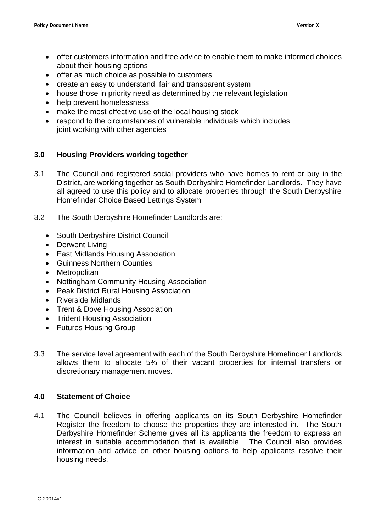- offer customers information and free advice to enable them to make informed choices about their housing options
- offer as much choice as possible to customers
- create an easy to understand, fair and transparent system
- house those in priority need as determined by the relevant legislation
- help prevent homelessness
- make the most effective use of the local housing stock
- respond to the circumstances of vulnerable individuals which includes joint working with other agencies

## **3.0 Housing Providers working together**

- 3.1 The Council and registered social providers who have homes to rent or buy in the District, are working together as South Derbyshire Homefinder Landlords. They have all agreed to use this policy and to allocate properties through the South Derbyshire Homefinder Choice Based Lettings System
- 3.2 The South Derbyshire Homefinder Landlords are:
	- South Derbyshire District Council
	- Derwent Living
	- East Midlands Housing Association
	- Guinness Northern Counties
	- Metropolitan
	- Nottingham Community Housing Association
	- Peak District Rural Housing Association
	- Riverside Midlands
	- Trent & Dove Housing Association
	- Trident Housing Association
	- Futures Housing Group
- 3.3 The service level agreement with each of the South Derbyshire Homefinder Landlords allows them to allocate 5% of their vacant properties for internal transfers or discretionary management moves.

## **4.0 Statement of Choice**

4.1 The Council believes in offering applicants on its South Derbyshire Homefinder Register the freedom to choose the properties they are interested in. The South Derbyshire Homefinder Scheme gives all its applicants the freedom to express an interest in suitable accommodation that is available. The Council also provides information and advice on other housing options to help applicants resolve their housing needs.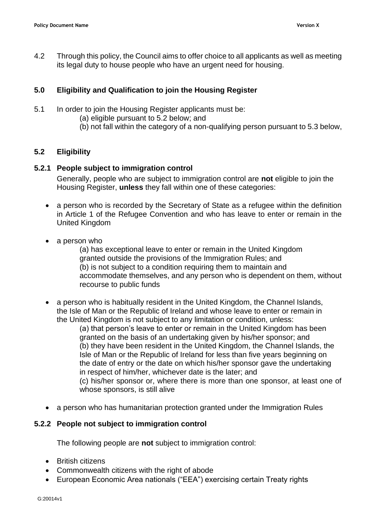4.2 Through this policy, the Council aims to offer choice to all applicants as well as meeting its legal duty to house people who have an urgent need for housing.

#### **5.0 Eligibility and Qualification to join the Housing Register**

- 5.1 In order to join the Housing Register applicants must be:
	- (a) eligible pursuant to 5.2 below; and
	- (b) not fall within the category of a non-qualifying person pursuant to 5.3 below,

#### **5.2 Eligibility**

#### **5.2.1 People subject to immigration control**

Generally, people who are subject to immigration control are **not** eligible to join the Housing Register, **unless** they fall within one of these categories:

- a person who is recorded by the Secretary of State as a refugee within the definition in Article 1 of the Refugee Convention and who has leave to enter or remain in the United Kingdom
- a person who

(a) has exceptional leave to enter or remain in the United Kingdom granted outside the provisions of the Immigration Rules; and (b) is not subject to a condition requiring them to maintain and accommodate themselves, and any person who is dependent on them, without recourse to public funds

• a person who is habitually resident in the United Kingdom, the Channel Islands, the Isle of Man or the Republic of Ireland and whose leave to enter or remain in the United Kingdom is not subject to any limitation or condition, unless:

(a) that person's leave to enter or remain in the United Kingdom has been granted on the basis of an undertaking given by his/her sponsor; and (b) they have been resident in the United Kingdom, the Channel Islands, the Isle of Man or the Republic of Ireland for less than five years beginning on the date of entry or the date on which his/her sponsor gave the undertaking in respect of him/her, whichever date is the later; and

(c) his/her sponsor or, where there is more than one sponsor, at least one of whose sponsors, is still alive

• a person who has humanitarian protection granted under the Immigration Rules

#### **5.2.2 People not subject to immigration control**

The following people are **not** subject to immigration control:

- British citizens
- Commonwealth citizens with the right of abode
- European Economic Area nationals ("EEA") exercising certain Treaty rights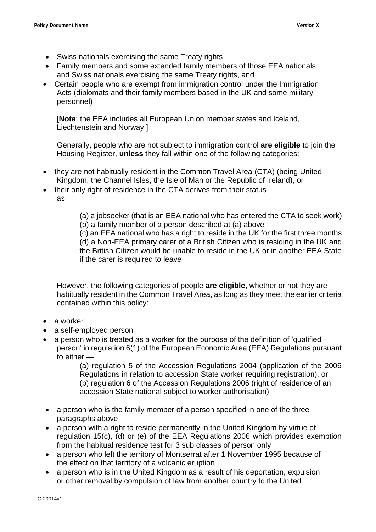- Swiss nationals exercising the same Treaty rights
- Family members and some extended family members of those EEA nationals and Swiss nationals exercising the same Treaty rights, and
- Certain people who are exempt from immigration control under the Immigration Acts (diplomats and their family members based in the UK and some military personnel)

[**Note**: the EEA includes all European Union member states and Iceland, Liechtenstein and Norway.]

Generally, people who are not subject to immigration control **are eligible** to join the Housing Register, **unless** they fall within one of the following categories:

- they are not habitually resident in the Common Travel Area (CTA) (being United Kingdom, the Channel Isles, the Isle of Man or the Republic of Ireland), or
- their only right of residence in the CTA derives from their status as:
	- (a) a jobseeker (that is an EEA national who has entered the CTA to seek work)
	- (b) a family member of a person described at (a) above

(c) an EEA national who has a right to reside in the UK for the first three months (d) a Non-EEA primary carer of a British Citizen who is residing in the UK and the British Citizen would be unable to reside in the UK or in another EEA State if the carer is required to leave

However, the following categories of people **are eligible**, whether or not they are habitually resident in the Common Travel Area, as long as they meet the earlier criteria contained within this policy:

- a worker
- a self-employed person
- a person who is treated as a worker for the purpose of the definition of 'qualified person' in regulation 6(1) of the European Economic Area (EEA) Regulations pursuant to either —

(a) regulation 5 of the Accession Regulations 2004 (application of the 2006 Regulations in relation to accession State worker requiring registration), or (b) regulation 6 of the Accession Regulations 2006 (right of residence of an accession State national subject to worker authorisation)

- a person who is the family member of a person specified in one of the three paragraphs above
- a person with a right to reside permanently in the United Kingdom by virtue of regulation 15(c), (d) or (e) of the EEA Regulations 2006 which provides exemption from the habitual residence test for 3 sub classes of person only
- a person who left the territory of Montserrat after 1 November 1995 because of the effect on that territory of a volcanic eruption
- a person who is in the United Kingdom as a result of his deportation, expulsion or other removal by compulsion of law from another country to the United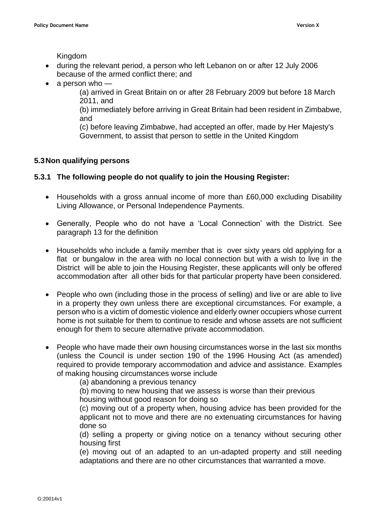Kingdom

- during the relevant period, a person who left Lebanon on or after 12 July 2006 because of the armed conflict there; and
- $\bullet$  a person who  $-$

(a) arrived in Great Britain on or after 28 February 2009 but before 18 March 2011, and

(b) immediately before arriving in Great Britain had been resident in Zimbabwe, and

(c) before leaving Zimbabwe, had accepted an offer, made by Her Majesty's Government, to assist that person to settle in the United Kingdom

#### **5.3Non qualifying persons**

#### **5.3.1 The following people do not qualify to join the Housing Register:**

- Households with a gross annual income of more than £60,000 excluding Disability Living Allowance, or Personal Independence Payments.
- Generally, People who do not have a 'Local Connection' with the District. See paragraph 13 for the definition
- Households who include a family member that is over sixty years old applying for a flat or bungalow in the area with no local connection but with a wish to live in the District will be able to join the Housing Register, these applicants will only be offered accommodation after all other bids for that particular property have been considered.
- People who own (including those in the process of selling) and live or are able to live in a property they own unless there are exceptional circumstances. For example, a person who is a victim of domestic violence and elderly owner occupiers whose current home is not suitable for them to continue to reside and whose assets are not sufficient enough for them to secure alternative private accommodation.
- People who have made their own housing circumstances worse in the last six months (unless the Council is under section 190 of the 1996 Housing Act (as amended) required to provide temporary accommodation and advice and assistance. Examples of making housing circumstances worse include
	- (a) abandoning a previous tenancy

(b) moving to new housing that we assess is worse than their previous

housing without good reason for doing so

(c) moving out of a property when, housing advice has been provided for the applicant not to move and there are no extenuating circumstances for having done so

(d) selling a property or giving notice on a tenancy without securing other housing first

(e) moving out of an adapted to an un-adapted property and still needing adaptations and there are no other circumstances that warranted a move.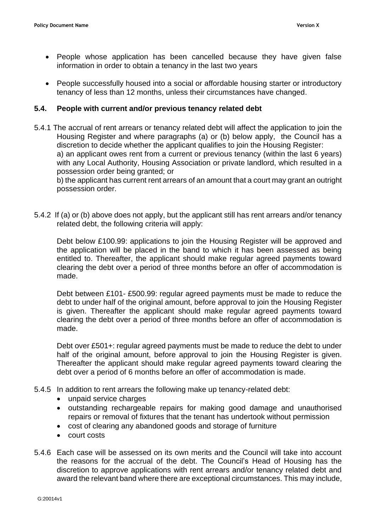- People whose application has been cancelled because they have given false information in order to obtain a tenancy in the last two years
- People successfully housed into a social or affordable housing starter or introductory tenancy of less than 12 months, unless their circumstances have changed.

#### **5.4. People with current and/or previous tenancy related debt**

5.4.1 The accrual of rent arrears or tenancy related debt will affect the application to join the Housing Register and where paragraphs (a) or (b) below apply, the Council has a discretion to decide whether the applicant qualifies to join the Housing Register: a) an applicant owes rent from a current or previous tenancy (within the last 6 years) with any Local Authority, Housing Association or private landlord, which resulted in a possession order being granted; or

b) the applicant has current rent arrears of an amount that a court may grant an outright possession order.

5.4.2 If (a) or (b) above does not apply, but the applicant still has rent arrears and/or tenancy related debt, the following criteria will apply:

Debt below £100.99: applications to join the Housing Register will be approved and the application will be placed in the band to which it has been assessed as being entitled to. Thereafter, the applicant should make regular agreed payments toward clearing the debt over a period of three months before an offer of accommodation is made.

Debt between £101- £500.99: regular agreed payments must be made to reduce the debt to under half of the original amount, before approval to join the Housing Register is given. Thereafter the applicant should make regular agreed payments toward clearing the debt over a period of three months before an offer of accommodation is made.

Debt over £501+: regular agreed payments must be made to reduce the debt to under half of the original amount, before approval to join the Housing Register is given. Thereafter the applicant should make regular agreed payments toward clearing the debt over a period of 6 months before an offer of accommodation is made.

- 5.4.5 In addition to rent arrears the following make up tenancy-related debt:
	- unpaid service charges
	- outstanding rechargeable repairs for making good damage and unauthorised repairs or removal of fixtures that the tenant has undertook without permission
	- cost of clearing any abandoned goods and storage of furniture
	- court costs
- 5.4.6 Each case will be assessed on its own merits and the Council will take into account the reasons for the accrual of the debt. The Council's Head of Housing has the discretion to approve applications with rent arrears and/or tenancy related debt and award the relevant band where there are exceptional circumstances. This may include,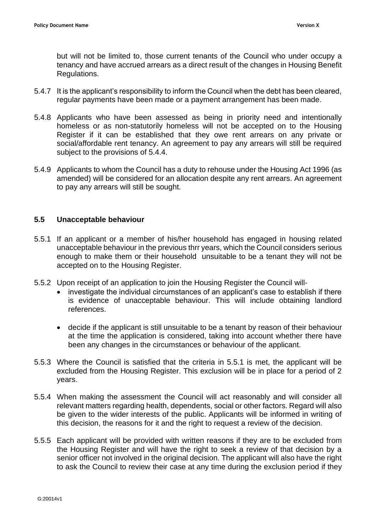but will not be limited to, those current tenants of the Council who under occupy a tenancy and have accrued arrears as a direct result of the changes in Housing Benefit Regulations.

- 5.4.7 It is the applicant's responsibility to inform the Council when the debt has been cleared, regular payments have been made or a payment arrangement has been made.
- 5.4.8 Applicants who have been assessed as being in priority need and intentionally homeless or as non-statutorily homeless will not be accepted on to the Housing Register if it can be established that they owe rent arrears on any private or social/affordable rent tenancy. An agreement to pay any arrears will still be required subject to the provisions of 5.4.4.
- 5.4.9 Applicants to whom the Council has a duty to rehouse under the Housing Act 1996 (as amended) will be considered for an allocation despite any rent arrears. An agreement to pay any arrears will still be sought.

#### **5.5 Unacceptable behaviour**

- 5.5.1 If an applicant or a member of his/her household has engaged in housing related unacceptable behaviour in the previous thrr years, which the Council considers serious enough to make them or their household unsuitable to be a tenant they will not be accepted on to the Housing Register.
- 5.5.2 Upon receipt of an application to join the Housing Register the Council will-
	- investigate the individual circumstances of an applicant's case to establish if there is evidence of unacceptable behaviour. This will include obtaining landlord references.
	- decide if the applicant is still unsuitable to be a tenant by reason of their behaviour at the time the application is considered, taking into account whether there have been any changes in the circumstances or behaviour of the applicant.
- 5.5.3 Where the Council is satisfied that the criteria in 5.5.1 is met, the applicant will be excluded from the Housing Register. This exclusion will be in place for a period of 2 years.
- 5.5.4 When making the assessment the Council will act reasonably and will consider all relevant matters regarding health, dependents, social or other factors. Regard will also be given to the wider interests of the public. Applicants will be informed in writing of this decision, the reasons for it and the right to request a review of the decision.
- 5.5.5 Each applicant will be provided with written reasons if they are to be excluded from the Housing Register and will have the right to seek a review of that decision by a senior officer not involved in the original decision. The applicant will also have the right to ask the Council to review their case at any time during the exclusion period if they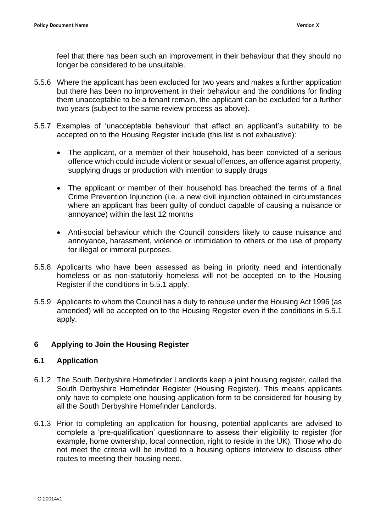feel that there has been such an improvement in their behaviour that they should no longer be considered to be unsuitable.

- 5.5.6 Where the applicant has been excluded for two years and makes a further application but there has been no improvement in their behaviour and the conditions for finding them unacceptable to be a tenant remain, the applicant can be excluded for a further two years (subject to the same review process as above).
- 5.5.7 Examples of 'unacceptable behaviour' that affect an applicant's suitability to be accepted on to the Housing Register include (this list is not exhaustive):
	- The applicant, or a member of their household, has been convicted of a serious offence which could include violent or sexual offences, an offence against property, supplying drugs or production with intention to supply drugs
	- The applicant or member of their household has breached the terms of a final Crime Prevention Injunction (i.e. a new civil injunction obtained in circumstances where an applicant has been guilty of conduct capable of causing a nuisance or annoyance) within the last 12 months
	- Anti-social behaviour which the Council considers likely to cause nuisance and annoyance, harassment, violence or intimidation to others or the use of property for illegal or immoral purposes.
- 5.5.8 Applicants who have been assessed as being in priority need and intentionally homeless or as non-statutorily homeless will not be accepted on to the Housing Register if the conditions in 5.5.1 apply.
- 5.5.9 Applicants to whom the Council has a duty to rehouse under the Housing Act 1996 (as amended) will be accepted on to the Housing Register even if the conditions in 5.5.1 apply.

#### **6 Applying to Join the Housing Register**

#### **6.1 Application**

- 6.1.2 The South Derbyshire Homefinder Landlords keep a joint housing register, called the South Derbyshire Homefinder Register (Housing Register). This means applicants only have to complete one housing application form to be considered for housing by all the South Derbyshire Homefinder Landlords.
- 6.1.3 Prior to completing an application for housing, potential applicants are advised to complete a 'pre-qualification' questionnaire to assess their eligibility to register (for example, home ownership, local connection, right to reside in the UK). Those who do not meet the criteria will be invited to a housing options interview to discuss other routes to meeting their housing need.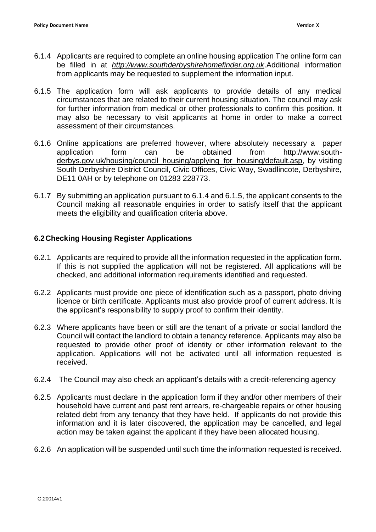- 6.1.4 Applicants are required to complete an online housing application The online form can be filled in at *[http://www.southderbyshirehomefinder.org.uk](http://www.southderbyshirehomefinder.org.uk/)*.Additional information from applicants may be requested to supplement the information input.
- 6.1.5 The application form will ask applicants to provide details of any medical circumstances that are related to their current housing situation. The council may ask for further information from medical or other professionals to confirm this position. It may also be necessary to visit applicants at home in order to make a correct assessment of their circumstances.
- 6.1.6 Online applications are preferred however, where absolutely necessary a paper application form can be obtained from [http://www.south](http://www.south-derbys.gov.uk/housing/council_housing/applying_for_housing/default.asp)[derbys.gov.uk/housing/council\\_housing/applying\\_for\\_housing/default.asp,](http://www.south-derbys.gov.uk/housing/council_housing/applying_for_housing/default.asp) by visiting South Derbyshire District Council, Civic Offices, Civic Way, Swadlincote, Derbyshire, DE11 0AH or by telephone on 01283 228773.
- 6.1.7 By submitting an application pursuant to 6.1.4 and 6.1.5, the applicant consents to the Council making all reasonable enquiries in order to satisfy itself that the applicant meets the eligibility and qualification criteria above.

## **6.2Checking Housing Register Applications**

- 6.2.1 Applicants are required to provide all the information requested in the application form. If this is not supplied the application will not be registered. All applications will be checked, and additional information requirements identified and requested.
- 6.2.2 Applicants must provide one piece of identification such as a passport, photo driving licence or birth certificate. Applicants must also provide proof of current address. It is the applicant's responsibility to supply proof to confirm their identity.
- 6.2.3 Where applicants have been or still are the tenant of a private or social landlord the Council will contact the landlord to obtain a tenancy reference. Applicants may also be requested to provide other proof of identity or other information relevant to the application. Applications will not be activated until all information requested is received.
- 6.2.4 The Council may also check an applicant's details with a credit-referencing agency
- 6.2.5 Applicants must declare in the application form if they and/or other members of their household have current and past rent arrears, re-chargeable repairs or other housing related debt from any tenancy that they have held. If applicants do not provide this information and it is later discovered, the application may be cancelled, and legal action may be taken against the applicant if they have been allocated housing.
- 6.2.6 An application will be suspended until such time the information requested is received.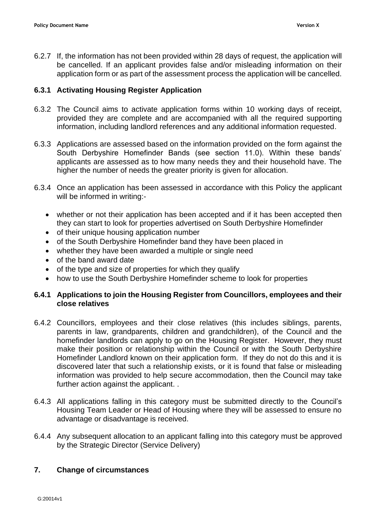6.2.7 If, the information has not been provided within 28 days of request, the application will be cancelled. If an applicant provides false and/or misleading information on their application form or as part of the assessment process the application will be cancelled.

#### **6.3.1 Activating Housing Register Application**

- 6.3.2 The Council aims to activate application forms within 10 working days of receipt, provided they are complete and are accompanied with all the required supporting information, including landlord references and any additional information requested.
- 6.3.3 Applications are assessed based on the information provided on the form against the South Derbyshire Homefinder Bands (see section 11.0). Within these bands' applicants are assessed as to how many needs they and their household have. The higher the number of needs the greater priority is given for allocation.
- 6.3.4 Once an application has been assessed in accordance with this Policy the applicant will be informed in writing:-
	- whether or not their application has been accepted and if it has been accepted then they can start to look for properties advertised on South Derbyshire Homefinder
	- of their unique housing application number
	- of the South Derbyshire Homefinder band they have been placed in
	- whether they have been awarded a multiple or single need
	- of the band award date
	- of the type and size of properties for which they qualify
	- how to use the South Derbyshire Homefinder scheme to look for properties

#### **6.4.1 Applications to join the Housing Register from Councillors, employees and their close relatives**

- 6.4.2 Councillors, employees and their close relatives (this includes siblings, parents, parents in law, grandparents, children and grandchildren), of the Council and the homefinder landlords can apply to go on the Housing Register. However, they must make their position or relationship within the Council or with the South Derbyshire Homefinder Landlord known on their application form. If they do not do this and it is discovered later that such a relationship exists, or it is found that false or misleading information was provided to help secure accommodation, then the Council may take further action against the applicant. .
- 6.4.3 All applications falling in this category must be submitted directly to the Council's Housing Team Leader or Head of Housing where they will be assessed to ensure no advantage or disadvantage is received.
- 6.4.4 Any subsequent allocation to an applicant falling into this category must be approved by the Strategic Director (Service Delivery)

#### **7. Change of circumstances**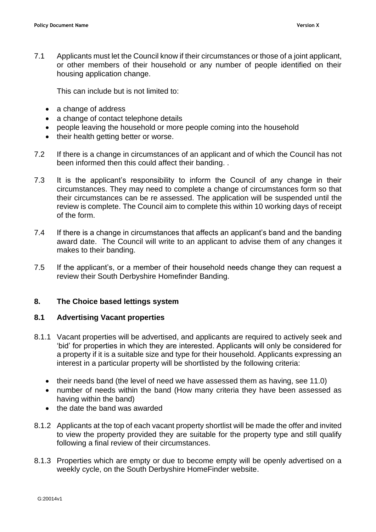7.1 Applicants must let the Council know if their circumstances or those of a joint applicant, or other members of their household or any number of people identified on their housing application change.

This can include but is not limited to:

- a change of address
- a change of contact telephone details
- people leaving the household or more people coming into the household
- their health getting better or worse.
- 7.2 If there is a change in circumstances of an applicant and of which the Council has not been informed then this could affect their banding. .
- 7.3 It is the applicant's responsibility to inform the Council of any change in their circumstances. They may need to complete a change of circumstances form so that their circumstances can be re assessed. The application will be suspended until the review is complete. The Council aim to complete this within 10 working days of receipt of the form.
- 7.4 If there is a change in circumstances that affects an applicant's band and the banding award date. The Council will write to an applicant to advise them of any changes it makes to their banding.
- 7.5 If the applicant's, or a member of their household needs change they can request a review their South Derbyshire Homefinder Banding.

#### **8. The Choice based lettings system**

#### **8.1 Advertising Vacant properties**

- 8.1.1 Vacant properties will be advertised, and applicants are required to actively seek and 'bid' for properties in which they are interested. Applicants will only be considered for a property if it is a suitable size and type for their household. Applicants expressing an interest in a particular property will be shortlisted by the following criteria:
	- their needs band (the level of need we have assessed them as having, see 11.0)
	- number of needs within the band (How many criteria they have been assessed as having within the band)
	- the date the band was awarded
- 8.1.2 Applicants at the top of each vacant property shortlist will be made the offer and invited to view the property provided they are suitable for the property type and still qualify following a final review of their circumstances.
- 8.1.3 Properties which are empty or due to become empty will be openly advertised on a weekly cycle, on the South Derbyshire HomeFinder website.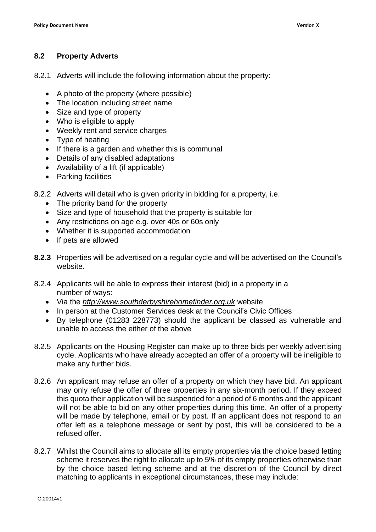## **8.2 Property Adverts**

- 8.2.1 Adverts will include the following information about the property:
	- A photo of the property (where possible)
	- The location including street name
	- Size and type of property
	- Who is eligible to apply
	- Weekly rent and service charges
	- Type of heating
	- If there is a garden and whether this is communal
	- Details of any disabled adaptations
	- Availability of a lift (if applicable)
	- Parking facilities
- 8.2.2 Adverts will detail who is given priority in bidding for a property, i.e.
	- The priority band for the property
	- Size and type of household that the property is suitable for
	- Any restrictions on age e.g. over 40s or 60s only
	- Whether it is supported accommodation
	- If pets are allowed
- **8.2.3** Properties will be advertised on a regular cycle and will be advertised on the Council's website.
- 8.2.4 Applicants will be able to express their interest (bid) in a property in a number of ways:
	- Via the *[http://www.southderbyshirehomefinder.org.uk](http://www.southderbyshirehomefinder.org.uk/)* website
	- In person at the Customer Services desk at the Council's Civic Offices
	- By telephone (01283 228773) should the applicant be classed as vulnerable and unable to access the either of the above
- 8.2.5 Applicants on the Housing Register can make up to three bids per weekly advertising cycle. Applicants who have already accepted an offer of a property will be ineligible to make any further bids.
- 8.2.6 An applicant may refuse an offer of a property on which they have bid. An applicant may only refuse the offer of three properties in any six-month period. If they exceed this quota their application will be suspended for a period of 6 months and the applicant will not be able to bid on any other properties during this time. An offer of a property will be made by telephone, email or by post. If an applicant does not respond to an offer left as a telephone message or sent by post, this will be considered to be a refused offer.
- 8.2.7 Whilst the Council aims to allocate all its empty properties via the choice based letting scheme it reserves the right to allocate up to 5% of its empty properties otherwise than by the choice based letting scheme and at the discretion of the Council by direct matching to applicants in exceptional circumstances, these may include: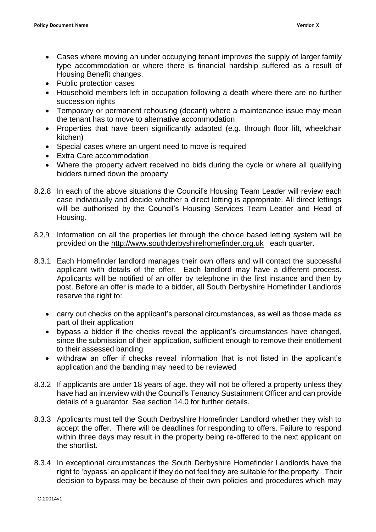- Cases where moving an under occupying tenant improves the supply of larger family type accommodation or where there is financial hardship suffered as a result of Housing Benefit changes.
- Public protection cases
- Household members left in occupation following a death where there are no further succession rights
- Temporary or permanent rehousing (decant) where a maintenance issue may mean the tenant has to move to alternative accommodation
- Properties that have been significantly adapted (e.g. through floor lift, wheelchair kitchen)
- Special cases where an urgent need to move is required
- Extra Care accommodation
- Where the property advert received no bids during the cycle or where all qualifying bidders turned down the property
- 8.2.8 In each of the above situations the Council's Housing Team Leader will review each case individually and decide whether a direct letting is appropriate. All direct lettings will be authorised by the Council's Housing Services Team Leader and Head of Housing.
- 8.2.9 Information on all the properties let through the choice based letting system will be provided on the [http://www.southderbyshirehomefinder.org.uk](http://www.southderbyshirehomefinder.org.uk/) each quarter.
- 8.3.1 Each Homefinder landlord manages their own offers and will contact the successful applicant with details of the offer. Each landlord may have a different process. Applicants will be notified of an offer by telephone in the first instance and then by post. Before an offer is made to a bidder, all South Derbyshire Homefinder Landlords reserve the right to:
	- carry out checks on the applicant's personal circumstances, as well as those made as part of their application
	- bypass a bidder if the checks reveal the applicant's circumstances have changed, since the submission of their application, sufficient enough to remove their entitlement to their assessed banding
	- withdraw an offer if checks reveal information that is not listed in the applicant's application and the banding may need to be reviewed
- 8.3.2 If applicants are under 18 years of age, they will not be offered a property unless they have had an interview with the Council's Tenancy Sustainment Officer and can provide details of a guarantor. See section 14.0 for further details.
- 8.3.3 Applicants must tell the South Derbyshire Homefinder Landlord whether they wish to accept the offer. There will be deadlines for responding to offers. Failure to respond within three days may result in the property being re-offered to the next applicant on the shortlist.
- 8.3.4 In exceptional circumstances the South Derbyshire Homefinder Landlords have the right to 'bypass' an applicant if they do not feel they are suitable for the property. Their decision to bypass may be because of their own policies and procedures which may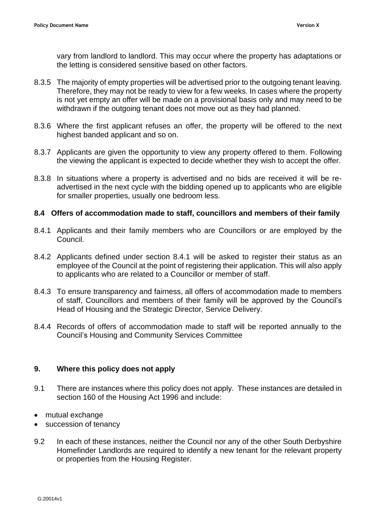vary from landlord to landlord. This may occur where the property has adaptations or the letting is considered sensitive based on other factors.

- 8.3.5 The majority of empty properties will be advertised prior to the outgoing tenant leaving. Therefore, they may not be ready to view for a few weeks. In cases where the property is not yet empty an offer will be made on a provisional basis only and may need to be withdrawn if the outgoing tenant does not move out as they had planned.
- 8.3.6 Where the first applicant refuses an offer, the property will be offered to the next highest banded applicant and so on.
- 8.3.7 Applicants are given the opportunity to view any property offered to them. Following the viewing the applicant is expected to decide whether they wish to accept the offer.
- 8.3.8 In situations where a property is advertised and no bids are received it will be readvertised in the next cycle with the bidding opened up to applicants who are eligible for smaller properties, usually one bedroom less.

#### **8.4 Offers of accommodation made to staff, councillors and members of their family**

- 8.4.1 Applicants and their family members who are Councillors or are employed by the Council.
- 8.4.2 Applicants defined under section 8.4.1 will be asked to register their status as an employee of the Council at the point of registering their application. This will also apply to applicants who are related to a Councillor or member of staff.
- 8.4.3 To ensure transparency and fairness, all offers of accommodation made to members of staff, Councillors and members of their family will be approved by the Council's Head of Housing and the Strategic Director, Service Delivery.
- 8.4.4 Records of offers of accommodation made to staff will be reported annually to the Council's Housing and Community Services Committee

#### **9. Where this policy does not apply**

- 9.1 There are instances where this policy does not apply. These instances are detailed in section 160 of the Housing Act 1996 and include:
- mutual exchange
- succession of tenancy
- 9.2 In each of these instances, neither the Council nor any of the other South Derbyshire Homefinder Landlords are required to identify a new tenant for the relevant property or properties from the Housing Register.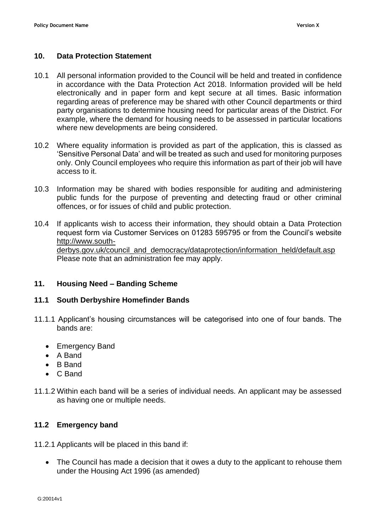#### **10. Data Protection Statement**

- 10.1 All personal information provided to the Council will be held and treated in confidence in accordance with the Data Protection Act 2018. Information provided will be held electronically and in paper form and kept secure at all times. Basic information regarding areas of preference may be shared with other Council departments or third party organisations to determine housing need for particular areas of the District. For example, where the demand for housing needs to be assessed in particular locations where new developments are being considered.
- 10.2 Where equality information is provided as part of the application, this is classed as 'Sensitive Personal Data' and will be treated as such and used for monitoring purposes only. Only Council employees who require this information as part of their job will have access to it.
- 10.3 Information may be shared with bodies responsible for auditing and administering public funds for the purpose of preventing and detecting fraud or other criminal offences, or for issues of child and public protection.
- 10.4 If applicants wish to access their information, they should obtain a Data Protection request form via Customer Services on 01283 595795 or from the Council's website [http://www.south](http://www.south-derbys.gov.uk/council_and_democracy/dataprotection/information_held/default.asp)[derbys.gov.uk/council\\_and\\_democracy/dataprotection/information\\_held/default.asp](http://www.south-derbys.gov.uk/council_and_democracy/dataprotection/information_held/default.asp) Please note that an administration fee may apply.

#### **11. Housing Need – Banding Scheme**

#### **11.1 South Derbyshire Homefinder Bands**

- 11.1.1 Applicant's housing circumstances will be categorised into one of four bands. The bands are:
	- Emergency Band
	- A Band
	- B Band
	- C Band
- 11.1.2 Within each band will be a series of individual needs. An applicant may be assessed as having one or multiple needs.

#### **11.2 Emergency band**

11.2.1 Applicants will be placed in this band if:

• The Council has made a decision that it owes a duty to the applicant to rehouse them under the Housing Act 1996 (as amended)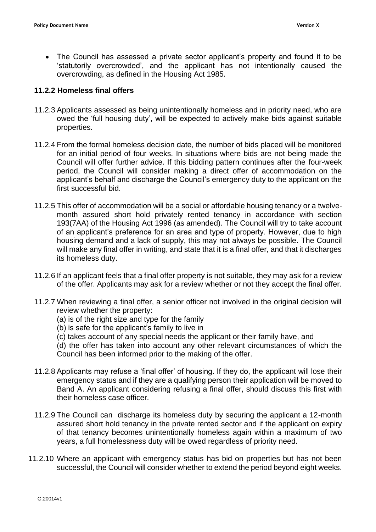• The Council has assessed a private sector applicant's property and found it to be 'statutorily overcrowded', and the applicant has not intentionally caused the overcrowding, as defined in the Housing Act 1985.

#### **11.2.2 Homeless final offers**

- 11.2.3 Applicants assessed as being unintentionally homeless and in priority need, who are owed the 'full housing duty', will be expected to actively make bids against suitable properties.
- 11.2.4 From the formal homeless decision date, the number of bids placed will be monitored for an initial period of four weeks. In situations where bids are not being made the Council will offer further advice. If this bidding pattern continues after the four-week period, the Council will consider making a direct offer of accommodation on the applicant's behalf and discharge the Council's emergency duty to the applicant on the first successful bid.
- 11.2.5 This offer of accommodation will be a social or affordable housing tenancy or a twelvemonth assured short hold privately rented tenancy in accordance with section 193(7AA) of the Housing Act 1996 (as amended). The Council will try to take account of an applicant's preference for an area and type of property. However, due to high housing demand and a lack of supply, this may not always be possible. The Council will make any final offer in writing, and state that it is a final offer, and that it discharges its homeless duty.
- 11.2.6 If an applicant feels that a final offer property is not suitable, they may ask for a review of the offer. Applicants may ask for a review whether or not they accept the final offer.
- 11.2.7 When reviewing a final offer, a senior officer not involved in the original decision will review whether the property:
	- (a) is of the right size and type for the family
	- (b) is safe for the applicant's family to live in
	- (c) takes account of any special needs the applicant or their family have, and

(d) the offer has taken into account any other relevant circumstances of which the Council has been informed prior to the making of the offer.

- 11.2.8 Applicants may refuse a 'final offer' of housing. If they do, the applicant will lose their emergency status and if they are a qualifying person their application will be moved to Band A. An applicant considering refusing a final offer, should discuss this first with their homeless case officer.
- 11.2.9 The Council can discharge its homeless duty by securing the applicant a 12-month assured short hold tenancy in the private rented sector and if the applicant on expiry of that tenancy becomes unintentionally homeless again within a maximum of two years, a full homelessness duty will be owed regardless of priority need.
- 11.2.10 Where an applicant with emergency status has bid on properties but has not been successful, the Council will consider whether to extend the period beyond eight weeks.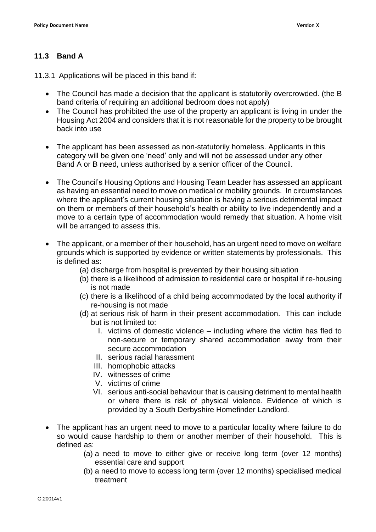# **11.3 Band A**

11.3.1 Applications will be placed in this band if:

- The Council has made a decision that the applicant is statutorily overcrowded. (the B band criteria of requiring an additional bedroom does not apply)
- The Council has prohibited the use of the property an applicant is living in under the Housing Act 2004 and considers that it is not reasonable for the property to be brought back into use
- The applicant has been assessed as non-statutorily homeless. Applicants in this category will be given one 'need' only and will not be assessed under any other Band A or B need, unless authorised by a senior officer of the Council.
- The Council's Housing Options and Housing Team Leader has assessed an applicant as having an essential need to move on medical or mobility grounds. In circumstances where the applicant's current housing situation is having a serious detrimental impact on them or members of their household's health or ability to live independently and a move to a certain type of accommodation would remedy that situation. A home visit will be arranged to assess this.
- The applicant, or a member of their household, has an urgent need to move on welfare grounds which is supported by evidence or written statements by professionals. This is defined as:
	- (a) discharge from hospital is prevented by their housing situation
	- (b) there is a likelihood of admission to residential care or hospital if re-housing is not made
	- (c) there is a likelihood of a child being accommodated by the local authority if re-housing is not made
	- (d) at serious risk of harm in their present accommodation. This can include but is not limited to:
		- I. victims of domestic violence including where the victim has fled to non-secure or temporary shared accommodation away from their secure accommodation
		- II. serious racial harassment
		- III. homophobic attacks
		- IV. witnesses of crime
		- V. victims of crime
		- VI. serious anti-social behaviour that is causing detriment to mental health or where there is risk of physical violence. Evidence of which is provided by a South Derbyshire Homefinder Landlord.
- The applicant has an urgent need to move to a particular locality where failure to do so would cause hardship to them or another member of their household. This is defined as:
	- (a) a need to move to either give or receive long term (over 12 months) essential care and support
	- (b) a need to move to access long term (over 12 months) specialised medical treatment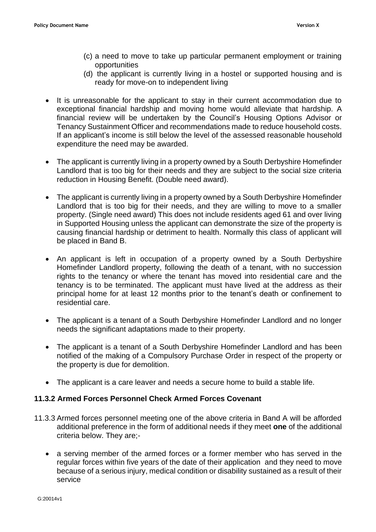- (c) a need to move to take up particular permanent employment or training opportunities
- (d) the applicant is currently living in a hostel or supported housing and is ready for move-on to independent living
- It is unreasonable for the applicant to stay in their current accommodation due to exceptional financial hardship and moving home would alleviate that hardship. A financial review will be undertaken by the Council's Housing Options Advisor or Tenancy Sustainment Officer and recommendations made to reduce household costs. If an applicant's income is still below the level of the assessed reasonable household expenditure the need may be awarded.
- The applicant is currently living in a property owned by a South Derbyshire Homefinder Landlord that is too big for their needs and they are subject to the social size criteria reduction in Housing Benefit. (Double need award).
- The applicant is currently living in a property owned by a South Derbyshire Homefinder Landlord that is too big for their needs, and they are willing to move to a smaller property. (Single need award) This does not include residents aged 61 and over living in Supported Housing unless the applicant can demonstrate the size of the property is causing financial hardship or detriment to health. Normally this class of applicant will be placed in Band B.
- An applicant is left in occupation of a property owned by a South Derbyshire Homefinder Landlord property, following the death of a tenant, with no succession rights to the tenancy or where the tenant has moved into residential care and the tenancy is to be terminated. The applicant must have lived at the address as their principal home for at least 12 months prior to the tenant's death or confinement to residential care.
- The applicant is a tenant of a South Derbyshire Homefinder Landlord and no longer needs the significant adaptations made to their property.
- The applicant is a tenant of a South Derbyshire Homefinder Landlord and has been notified of the making of a Compulsory Purchase Order in respect of the property or the property is due for demolition.
- The applicant is a care leaver and needs a secure home to build a stable life.

#### **11.3.2 Armed Forces Personnel Check Armed Forces Covenant**

- 11.3.3 Armed forces personnel meeting one of the above criteria in Band A will be afforded additional preference in the form of additional needs if they meet **one** of the additional criteria below. They are;-
	- a serving member of the armed forces or a former member who has served in the regular forces within five years of the date of their application and they need to move because of a serious injury, medical condition or disability sustained as a result of their service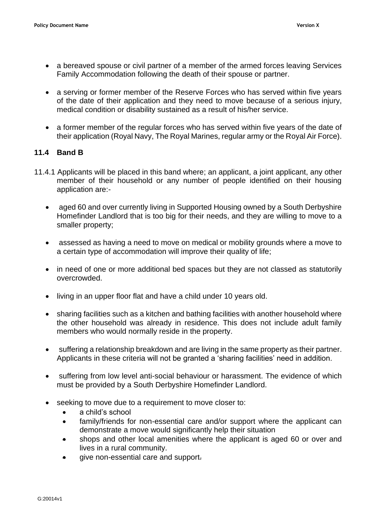- a bereaved spouse or civil partner of a member of the armed forces leaving Services Family Accommodation following the death of their spouse or partner.
- a serving or former member of the Reserve Forces who has served within five years of the date of their application and they need to move because of a serious injury, medical condition or disability sustained as a result of his/her service.
- a former member of the regular forces who has served within five years of the date of their application (Royal Navy, The Royal Marines, regular army or the Royal Air Force).

#### **11.4 Band B**

- 11.4.1 Applicants will be placed in this band where; an applicant, a joint applicant, any other member of their household or any number of people identified on their housing application are:-
	- aged 60 and over currently living in Supported Housing owned by a South Derbyshire Homefinder Landlord that is too big for their needs, and they are willing to move to a smaller property;
	- assessed as having a need to move on medical or mobility grounds where a move to a certain type of accommodation will improve their quality of life;
	- in need of one or more additional bed spaces but they are not classed as statutorily overcrowded.
	- living in an upper floor flat and have a child under 10 years old.
	- sharing facilities such as a kitchen and bathing facilities with another household where the other household was already in residence. This does not include adult family members who would normally reside in the property.
	- suffering a relationship breakdown and are living in the same property as their partner. Applicants in these criteria will not be granted a 'sharing facilities' need in addition.
	- suffering from low level anti-social behaviour or harassment. The evidence of which must be provided by a South Derbyshire Homefinder Landlord.
	- seeking to move due to a requirement to move closer to:
		- a child's school
		- family/friends for non-essential care and/or support where the applicant can demonstrate a move would significantly help their situation
		- shops and other local amenities where the applicant is aged 60 or over and lives in a rural community.
		- give non-essential care and support-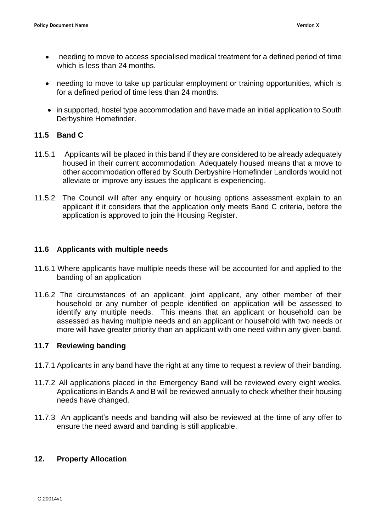- needing to move to access specialised medical treatment for a defined period of time which is less than 24 months.
- needing to move to take up particular employment or training opportunities, which is for a defined period of time less than 24 months.
- in supported, hostel type accommodation and have made an initial application to South Derbyshire Homefinder.

#### **11.5 Band C**

- 11.5.1 Applicants will be placed in this band if they are considered to be already adequately housed in their current accommodation. Adequately housed means that a move to other accommodation offered by South Derbyshire Homefinder Landlords would not alleviate or improve any issues the applicant is experiencing.
- 11.5.2 The Council will after any enquiry or housing options assessment explain to an applicant if it considers that the application only meets Band C criteria, before the application is approved to join the Housing Register.

#### **11.6 Applicants with multiple needs**

- 11.6.1 Where applicants have multiple needs these will be accounted for and applied to the banding of an application
- 11.6.2 The circumstances of an applicant, joint applicant, any other member of their household or any number of people identified on application will be assessed to identify any multiple needs. This means that an applicant or household can be assessed as having multiple needs and an applicant or household with two needs or more will have greater priority than an applicant with one need within any given band.

#### **11.7 Reviewing banding**

- 11.7.1 Applicants in any band have the right at any time to request a review of their banding.
- 11.7.2 All applications placed in the Emergency Band will be reviewed every eight weeks. Applications in Bands A and B will be reviewed annually to check whether their housing needs have changed.
- 11.7.3 An applicant's needs and banding will also be reviewed at the time of any offer to ensure the need award and banding is still applicable.

#### **12. Property Allocation**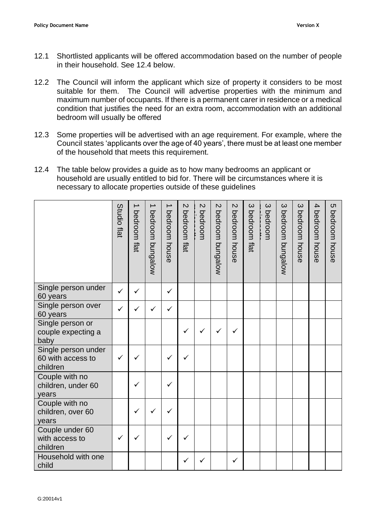- 12.1 Shortlisted applicants will be offered accommodation based on the number of people in their household. See 12.4 below.
- 12.2 The Council will inform the applicant which size of property it considers to be most suitable for them. The Council will advertise properties with the minimum and maximum number of occupants. If there is a permanent carer in residence or a medical condition that justifies the need for an extra room, accommodation with an additional bedroom will usually be offered
- 12.3 Some properties will be advertised with an age requirement. For example, where the Council states 'applicants over the age of 40 years', there must be at least one member of the household that meets this requirement.
- 12.4 The table below provides a guide as to how many bedrooms an applicant or household are usually entitled to bid for. There will be circumstances where it is necessary to allocate properties outside of these guidelines

|                                                      | Studio flat  | →<br>bedroom flat | bedroom bungalow | bedroom house | $\mathbf{z}$<br>bedroom flat | $\mathbf{v}$<br>bedroom | $\mathbf{\mathsf{C}}$<br>bedroom bungalow | $\mathbf{z}$<br>bedroom house | $\infty$<br>bedroom flat | $\omega$<br>bedroom | $\infty$<br>bedroom bungalow | $\infty$<br>bedroom<br>house | $\overline{4}$<br>bedroom house | <b>(</b><br>bedroom<br>house |
|------------------------------------------------------|--------------|-------------------|------------------|---------------|------------------------------|-------------------------|-------------------------------------------|-------------------------------|--------------------------|---------------------|------------------------------|------------------------------|---------------------------------|------------------------------|
| Single person under<br>60 years                      | $\checkmark$ | ✓                 |                  | $\checkmark$  |                              |                         |                                           |                               |                          |                     |                              |                              |                                 |                              |
| Single person over<br>60 years                       |              |                   |                  | ✓             |                              |                         |                                           |                               |                          |                     |                              |                              |                                 |                              |
| Single person or<br>couple expecting a<br>baby       |              |                   |                  |               | $\checkmark$                 | ✓                       |                                           | ✓                             |                          |                     |                              |                              |                                 |                              |
| Single person under<br>60 with access to<br>children | ✓            |                   |                  | ✓             | ✓                            |                         |                                           |                               |                          |                     |                              |                              |                                 |                              |
| Couple with no<br>children, under 60<br>years        |              |                   |                  | ✓             |                              |                         |                                           |                               |                          |                     |                              |                              |                                 |                              |
| Couple with no<br>children, over 60<br>years         |              | $\checkmark$      |                  |               |                              |                         |                                           |                               |                          |                     |                              |                              |                                 |                              |
| Couple under 60<br>with access to<br>children        | ✓            |                   |                  | ✓             | ✓                            |                         |                                           |                               |                          |                     |                              |                              |                                 |                              |
| Household with one<br>child                          |              |                   |                  |               | ✓                            | $\checkmark$            |                                           | ✓                             |                          |                     |                              |                              |                                 |                              |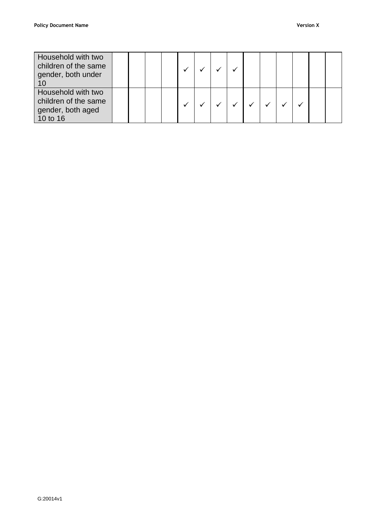| Household with two<br>children of the same<br>gender, both under<br>-10     |  |  |  |  |  |  |  |
|-----------------------------------------------------------------------------|--|--|--|--|--|--|--|
| Household with two<br>children of the same<br>gender, both aged<br>10 to 16 |  |  |  |  |  |  |  |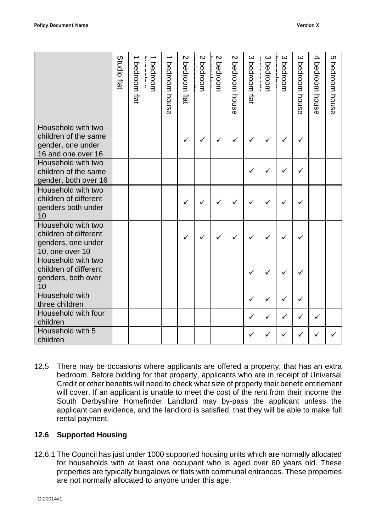|                                                                                       | Studio flat | ∸<br>bedroom flat | ∸<br>bedroom | ∸<br>bedroom house | $\mathbf{v}$<br>bedroom flat | $\mathsf{N}$<br>bedroom | $\mathcal{D}$<br>bedroom | Z<br>bedroom house | ယ<br>bedroom flat | $\mathbf{\omega}$<br>bedroom | ယ<br>bedroom | ယ<br>bedroom<br>house | 4<br>bedroom<br>house | cл<br>bedroom<br>house |
|---------------------------------------------------------------------------------------|-------------|-------------------|--------------|--------------------|------------------------------|-------------------------|--------------------------|--------------------|-------------------|------------------------------|--------------|-----------------------|-----------------------|------------------------|
| Household with two<br>children of the same<br>gender, one under<br>16 and one over 16 |             |                   |              |                    |                              |                         | ✓                        |                    | ✓                 |                              |              |                       |                       |                        |
| Household with two<br>children of the same<br>gender, both over 16                    |             |                   |              |                    |                              |                         |                          |                    |                   |                              |              |                       |                       |                        |
| Household with two<br>children of different<br>genders both under<br>10               |             |                   |              |                    |                              |                         |                          |                    |                   |                              |              |                       |                       |                        |
| Household with two<br>children of different<br>genders, one under<br>10, one over 10  |             |                   |              |                    |                              |                         |                          |                    |                   |                              |              |                       |                       |                        |
| Household with two<br>children of different<br>genders, both over<br>10               |             |                   |              |                    |                              |                         |                          |                    |                   |                              |              |                       |                       |                        |
| Household with<br>three children                                                      |             |                   |              |                    |                              |                         |                          |                    | ✓                 |                              |              |                       |                       |                        |
| Household with four<br>children                                                       |             |                   |              |                    |                              |                         |                          |                    | ✓                 | ✓                            | ✓            | ✓                     | ✓                     |                        |
| Household with 5<br>children                                                          |             |                   |              |                    |                              |                         |                          |                    |                   |                              |              |                       |                       |                        |

12.5 There may be occasions where applicants are offered a property, that has an extra bedroom. Before bidding for that property, applicants who are in receipt of Universal Credit or other benefits will need to check what size of property their benefit entitlement will cover. If an applicant is unable to meet the cost of the rent from their income the South Derbyshire Homefinder Landlord may by-pass the applicant unless the applicant can evidence, and the landlord is satisfied, that they will be able to make full rental payment.

## **12.6 Supported Housing**

12.6.1 The Council has just under 1000 supported housing units which are normally allocated for households with at least one occupant who is aged over 60 years old. These properties are typically bungalows or flats with communal entrances. These properties are not normally allocated to anyone under this age.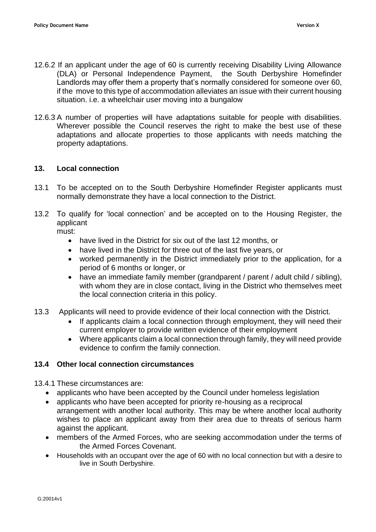- 12.6.2 If an applicant under the age of 60 is currently receiving Disability Living Allowance (DLA) or Personal Independence Payment, the South Derbyshire Homefinder Landlords may offer them a property that's normally considered for someone over 60, if the move to this type of accommodation alleviates an issue with their current housing situation. i.e. a wheelchair user moving into a bungalow
- 12.6.3 A number of properties will have adaptations suitable for people with disabilities. Wherever possible the Council reserves the right to make the best use of these adaptations and allocate properties to those applicants with needs matching the property adaptations.

#### **13. Local connection**

- 13.1 To be accepted on to the South Derbyshire Homefinder Register applicants must normally demonstrate they have a local connection to the District.
- 13.2 To qualify for 'local connection' and be accepted on to the Housing Register, the applicant

must:

- have lived in the District for six out of the last 12 months, or
- have lived in the District for three out of the last five years, or
- worked permanently in the District immediately prior to the application, for a period of 6 months or longer, or
- have an immediate family member (grandparent / parent / adult child / sibling), with whom they are in close contact, living in the District who themselves meet the local connection criteria in this policy.
- 13.3 Applicants will need to provide evidence of their local connection with the District.
	- If applicants claim a local connection through employment, they will need their current employer to provide written evidence of their employment
	- Where applicants claim a local connection through family, they will need provide evidence to confirm the family connection.

#### **13.4 Other local connection circumstances**

13.4.1 These circumstances are:

- applicants who have been accepted by the Council under homeless legislation
- applicants who have been accepted for priority re-housing as a reciprocal arrangement with another local authority. This may be where another local authority wishes to place an applicant away from their area due to threats of serious harm against the applicant.
- members of the Armed Forces, who are seeking accommodation under the terms of the Armed Forces Covenant.
- Households with an occupant over the age of 60 with no local connection but with a desire to live in South Derbyshire.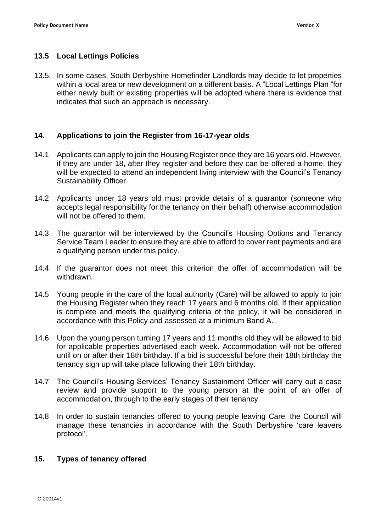#### **13.5 Local Lettings Policies**

13.5. In some cases, South Derbyshire Homefinder Landlords may decide to let properties within a local area or new development on a different basis. A "Local Lettings Plan "for either newly built or existing properties will be adopted where there is evidence that indicates that such an approach is necessary.

#### **14. Applications to join the Register from 16-17-year olds**

- 14.1 Applicants can apply to join the Housing Register once they are 16 years old. However, if they are under 18, after they register and before they can be offered a home, they will be expected to attend an independent living interview with the Council's Tenancy Sustainability Officer.
- 14.2 Applicants under 18 years old must provide details of a guarantor (someone who accepts legal responsibility for the tenancy on their behalf) otherwise accommodation will not be offered to them.
- 14.3 The guarantor will be interviewed by the Council's Housing Options and Tenancy Service Team Leader to ensure they are able to afford to cover rent payments and are a qualifying person under this policy.
- 14.4 If the guarantor does not meet this criterion the offer of accommodation will be withdrawn.
- 14.5 Young people in the care of the local authority (Care) will be allowed to apply to join the Housing Register when they reach 17 years and 6 months old. If their application is complete and meets the qualifying criteria of the policy, it will be considered in accordance with this Policy and assessed at a minimum Band A.
- 14.6 Upon the young person turning 17 years and 11 months old they will be allowed to bid for applicable properties advertised each week. Accommodation will not be offered until on or after their 18th birthday. If a bid is successful before their 18th birthday the tenancy sign up will take place following their 18th birthday.
- 14.7 The Council's Housing Services' Tenancy Sustainment Officer will carry out a case review and provide support to the young person at the point of an offer of accommodation, through to the early stages of their tenancy.
- 14.8 In order to sustain tenancies offered to young people leaving Care, the Council will manage these tenancies in accordance with the South Derbyshire 'care leavers protocol'.

#### **15. Types of tenancy offered**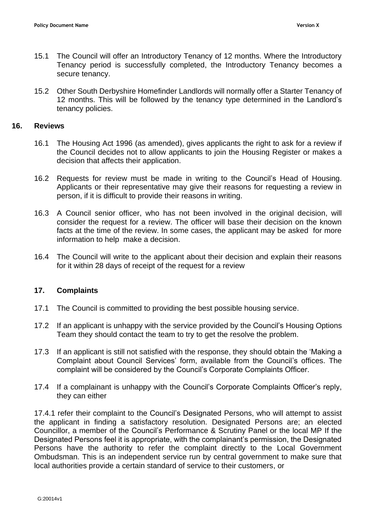- 15.1 The Council will offer an Introductory Tenancy of 12 months. Where the Introductory Tenancy period is successfully completed, the Introductory Tenancy becomes a secure tenancy.
- 15.2 Other South Derbyshire Homefinder Landlords will normally offer a Starter Tenancy of 12 months. This will be followed by the tenancy type determined in the Landlord's tenancy policies.

#### **16. Reviews**

- 16.1 The Housing Act 1996 (as amended), gives applicants the right to ask for a review if the Council decides not to allow applicants to join the Housing Register or makes a decision that affects their application.
- 16.2 Requests for review must be made in writing to the Council's Head of Housing. Applicants or their representative may give their reasons for requesting a review in person, if it is difficult to provide their reasons in writing.
- 16.3 A Council senior officer, who has not been involved in the original decision, will consider the request for a review. The officer will base their decision on the known facts at the time of the review. In some cases, the applicant may be asked for more information to help make a decision.
- 16.4 The Council will write to the applicant about their decision and explain their reasons for it within 28 days of receipt of the request for a review

#### **17. Complaints**

- 17.1 The Council is committed to providing the best possible housing service.
- 17.2 If an applicant is unhappy with the service provided by the Council's Housing Options Team they should contact the team to try to get the resolve the problem.
- 17.3 If an applicant is still not satisfied with the response, they should obtain the 'Making a Complaint about Council Services' form, available from the Council's offices. The complaint will be considered by the Council's Corporate Complaints Officer.
- 17.4 If a complainant is unhappy with the Council's Corporate Complaints Officer's reply, they can either

17.4.1 refer their complaint to the Council's Designated Persons, who will attempt to assist the applicant in finding a satisfactory resolution. Designated Persons are; an elected Councillor, a member of the Council's Performance & Scrutiny Panel or the local MP If the Designated Persons feel it is appropriate, with the complainant's permission, the Designated Persons have the authority to refer the complaint directly to the Local Government Ombudsman. This is an independent service run by central government to make sure that local authorities provide a certain standard of service to their customers, or